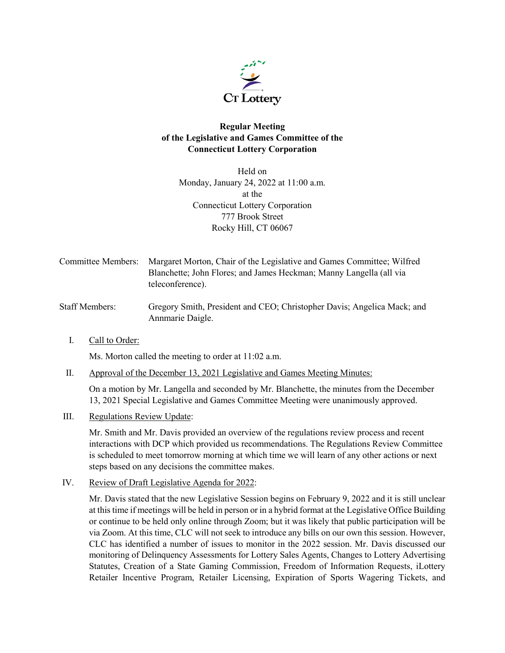

## **Regular Meeting of the Legislative and Games Committee of the Connecticut Lottery Corporation**

Held on Monday, January 24, 2022 at 11:00 a.m. at the Connecticut Lottery Corporation 777 Brook Street Rocky Hill, CT 06067

- Committee Members: Margaret Morton, Chair of the Legislative and Games Committee; Wilfred Blanchette; John Flores; and James Heckman; Manny Langella (all via teleconference).
- Staff Members: Gregory Smith, President and CEO; Christopher Davis; Angelica Mack; and Annmarie Daigle.
	- I. Call to Order:

Ms. Morton called the meeting to order at 11:02 a.m.

II. Approval of the December 13, 2021 Legislative and Games Meeting Minutes:

On a motion by Mr. Langella and seconded by Mr. Blanchette, the minutes from the December 13, 2021 Special Legislative and Games Committee Meeting were unanimously approved.

III. Regulations Review Update:

Mr. Smith and Mr. Davis provided an overview of the regulations review process and recent interactions with DCP which provided us recommendations. The Regulations Review Committee is scheduled to meet tomorrow morning at which time we will learn of any other actions or next steps based on any decisions the committee makes.

IV. Review of Draft Legislative Agenda for 2022:

Mr. Davis stated that the new Legislative Session begins on February 9, 2022 and it is still unclear at this time if meetings will be held in person or in a hybrid format at the Legislative Office Building or continue to be held only online through Zoom; but it was likely that public participation will be via Zoom. At this time, CLC will not seek to introduce any bills on our own this session. However, CLC has identified a number of issues to monitor in the 2022 session. Mr. Davis discussed our monitoring of Delinquency Assessments for Lottery Sales Agents, Changes to Lottery Advertising Statutes, Creation of a State Gaming Commission, Freedom of Information Requests, iLottery Retailer Incentive Program, Retailer Licensing, Expiration of Sports Wagering Tickets, and